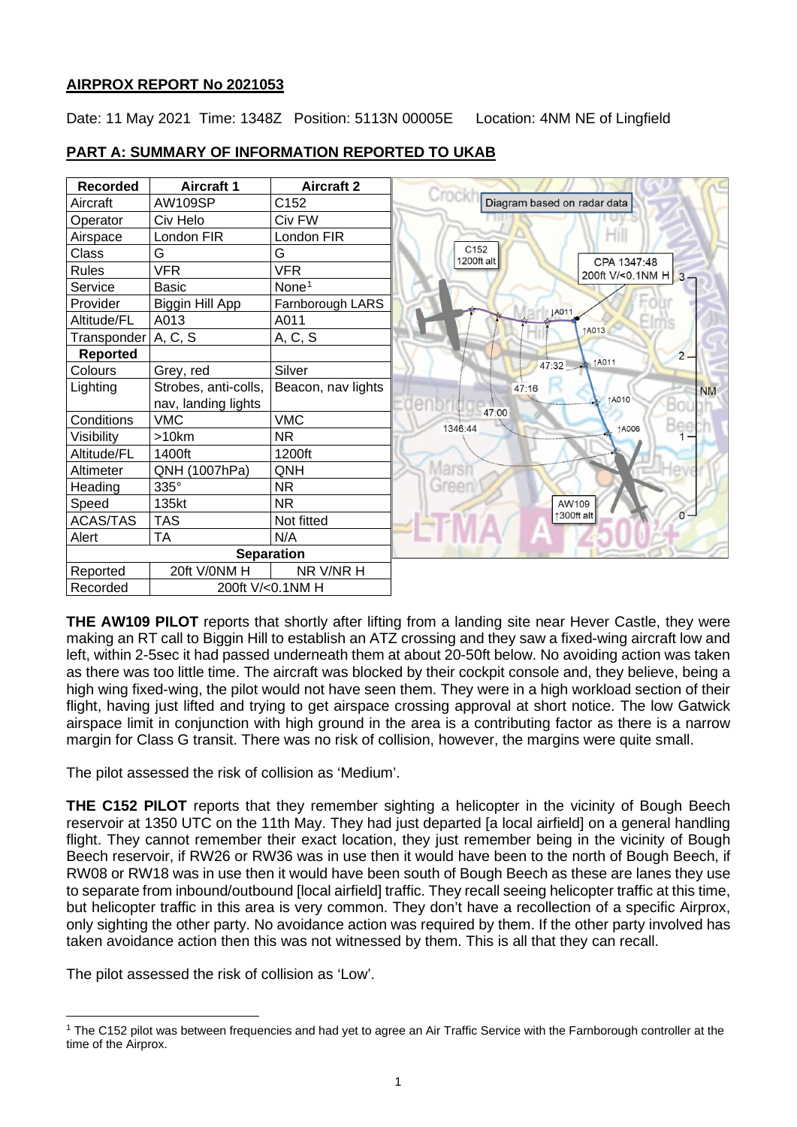## **AIRPROX REPORT No 2021053**

Date: 11 May 2021 Time: 1348Z Position: 5113N 00005E Location: 4NM NE of Lingfield



## **PART A: SUMMARY OF INFORMATION REPORTED TO UKAB**

**THE AW109 PILOT** reports that shortly after lifting from a landing site near Hever Castle, they were making an RT call to Biggin Hill to establish an ATZ crossing and they saw a fixed-wing aircraft low and left, within 2-5sec it had passed underneath them at about 20-50ft below. No avoiding action was taken as there was too little time. The aircraft was blocked by their cockpit console and, they believe, being a high wing fixed-wing, the pilot would not have seen them. They were in a high workload section of their flight, having just lifted and trying to get airspace crossing approval at short notice. The low Gatwick airspace limit in conjunction with high ground in the area is a contributing factor as there is a narrow margin for Class G transit. There was no risk of collision, however, the margins were quite small.

The pilot assessed the risk of collision as 'Medium'.

**THE C152 PILOT** reports that they remember sighting a helicopter in the vicinity of Bough Beech reservoir at 1350 UTC on the 11th May. They had just departed [a local airfield] on a general handling flight. They cannot remember their exact location, they just remember being in the vicinity of Bough Beech reservoir, if RW26 or RW36 was in use then it would have been to the north of Bough Beech, if RW08 or RW18 was in use then it would have been south of Bough Beech as these are lanes they use to separate from inbound/outbound [local airfield] traffic. They recall seeing helicopter traffic at this time, but helicopter traffic in this area is very common. They don't have a recollection of a specific Airprox, only sighting the other party. No avoidance action was required by them. If the other party involved has taken avoidance action then this was not witnessed by them. This is all that they can recall.

The pilot assessed the risk of collision as 'Low'.

<span id="page-0-0"></span><sup>1</sup> The C152 pilot was between frequencies and had yet to agree an Air Traffic Service with the Farnborough controller at the time of the Airprox.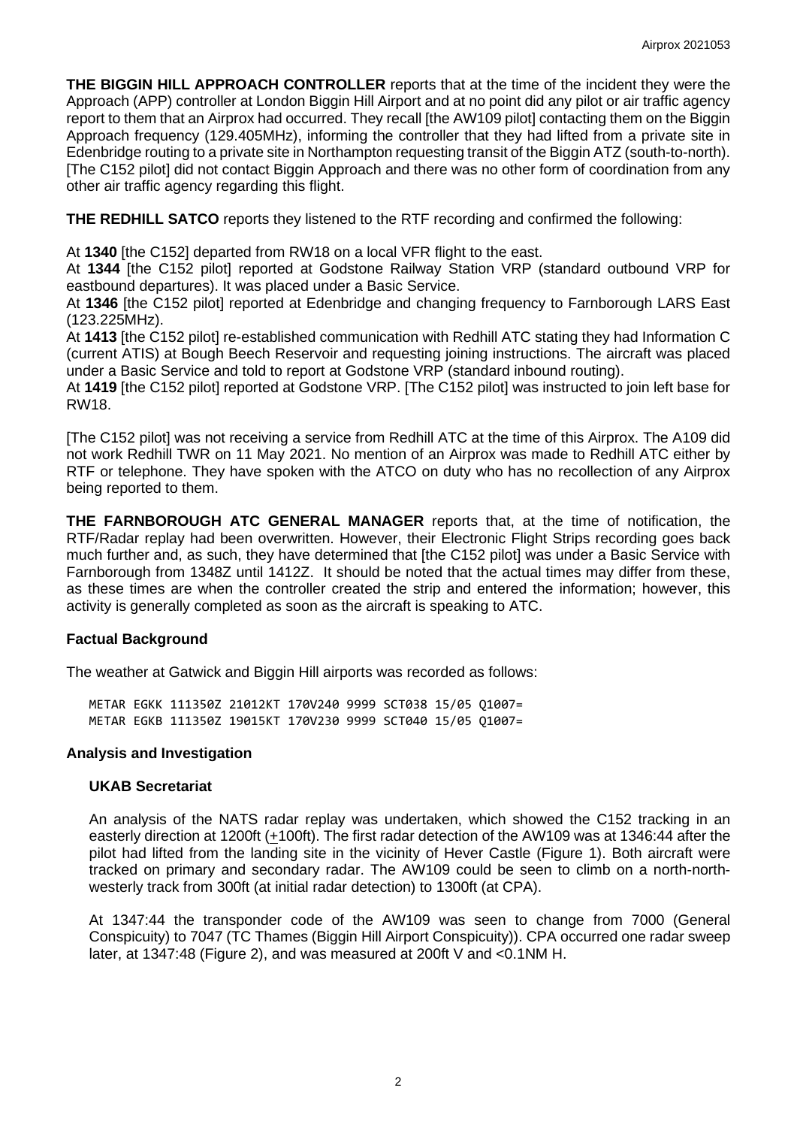**THE BIGGIN HILL APPROACH CONTROLLER** reports that at the time of the incident they were the Approach (APP) controller at London Biggin Hill Airport and at no point did any pilot or air traffic agency report to them that an Airprox had occurred. They recall [the AW109 pilot] contacting them on the Biggin Approach frequency (129.405MHz), informing the controller that they had lifted from a private site in Edenbridge routing to a private site in Northampton requesting transit of the Biggin ATZ (south-to-north). [The C152 pilot] did not contact Biggin Approach and there was no other form of coordination from any other air traffic agency regarding this flight.

**THE REDHILL SATCO** reports they listened to the RTF recording and confirmed the following:

At **1340** [the C152] departed from RW18 on a local VFR flight to the east.

At **1344** [the C152 pilot] reported at Godstone Railway Station VRP (standard outbound VRP for eastbound departures). It was placed under a Basic Service.

At **1346** [the C152 pilot] reported at Edenbridge and changing frequency to Farnborough LARS East (123.225MHz).

At **1413** [the C152 pilot] re-established communication with Redhill ATC stating they had Information C (current ATIS) at Bough Beech Reservoir and requesting joining instructions. The aircraft was placed under a Basic Service and told to report at Godstone VRP (standard inbound routing).

At **1419** [the C152 pilot] reported at Godstone VRP. [The C152 pilot] was instructed to join left base for RW18.

[The C152 pilot] was not receiving a service from Redhill ATC at the time of this Airprox. The A109 did not work Redhill TWR on 11 May 2021. No mention of an Airprox was made to Redhill ATC either by RTF or telephone. They have spoken with the ATCO on duty who has no recollection of any Airprox being reported to them.

**THE FARNBOROUGH ATC GENERAL MANAGER** reports that, at the time of notification, the RTF/Radar replay had been overwritten. However, their Electronic Flight Strips recording goes back much further and, as such, they have determined that [the C152 pilot] was under a Basic Service with Farnborough from 1348Z until 1412Z. It should be noted that the actual times may differ from these, as these times are when the controller created the strip and entered the information; however, this activity is generally completed as soon as the aircraft is speaking to ATC.

# **Factual Background**

The weather at Gatwick and Biggin Hill airports was recorded as follows:

METAR EGKK 111350Z 21012KT 170V240 9999 SCT038 15/05 Q1007= METAR EGKB 111350Z 19015KT 170V230 9999 SCT040 15/05 Q1007=

### **Analysis and Investigation**

### **UKAB Secretariat**

An analysis of the NATS radar replay was undertaken, which showed the C152 tracking in an easterly direction at 1200ft (+100ft). The first radar detection of the AW109 was at 1346:44 after the pilot had lifted from the landing site in the vicinity of Hever Castle (Figure 1). Both aircraft were tracked on primary and secondary radar. The AW109 could be seen to climb on a north-northwesterly track from 300ft (at initial radar detection) to 1300ft (at CPA).

At 1347:44 the transponder code of the AW109 was seen to change from 7000 (General Conspicuity) to 7047 (TC Thames (Biggin Hill Airport Conspicuity)). CPA occurred one radar sweep later, at 1347:48 (Figure 2), and was measured at 200ft V and <0.1NM H.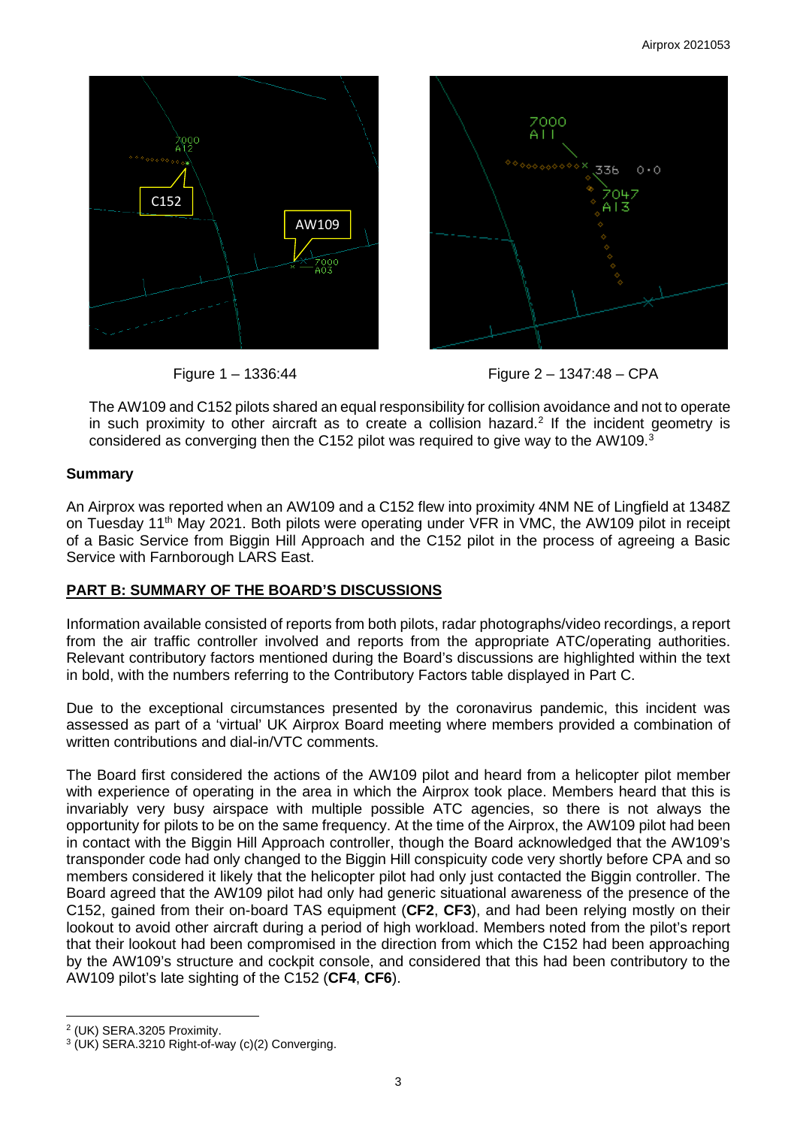



Figure 1 – 1336:44 Figure 2 – 1347:48 – CPA

The AW109 and C152 pilots shared an equal responsibility for collision avoidance and not to operate in such proximity to other aircraft as to create a collision hazard.<sup>[2](#page-2-0)</sup> If the incident geometry is considered as converging then the C152 pilot was required to give way to the AW109.<sup>[3](#page-2-1)</sup>

## **Summary**

An Airprox was reported when an AW109 and a C152 flew into proximity 4NM NE of Lingfield at 1348Z on Tuesday 11<sup>th</sup> May 2021. Both pilots were operating under VFR in VMC, the AW109 pilot in receipt of a Basic Service from Biggin Hill Approach and the C152 pilot in the process of agreeing a Basic Service with Farnborough LARS East.

# **PART B: SUMMARY OF THE BOARD'S DISCUSSIONS**

Information available consisted of reports from both pilots, radar photographs/video recordings, a report from the air traffic controller involved and reports from the appropriate ATC/operating authorities. Relevant contributory factors mentioned during the Board's discussions are highlighted within the text in bold, with the numbers referring to the Contributory Factors table displayed in Part C.

Due to the exceptional circumstances presented by the coronavirus pandemic, this incident was assessed as part of a 'virtual' UK Airprox Board meeting where members provided a combination of written contributions and dial-in/VTC comments.

The Board first considered the actions of the AW109 pilot and heard from a helicopter pilot member with experience of operating in the area in which the Airprox took place. Members heard that this is invariably very busy airspace with multiple possible ATC agencies, so there is not always the opportunity for pilots to be on the same frequency. At the time of the Airprox, the AW109 pilot had been in contact with the Biggin Hill Approach controller, though the Board acknowledged that the AW109's transponder code had only changed to the Biggin Hill conspicuity code very shortly before CPA and so members considered it likely that the helicopter pilot had only just contacted the Biggin controller. The Board agreed that the AW109 pilot had only had generic situational awareness of the presence of the C152, gained from their on-board TAS equipment (**CF2**, **CF3**), and had been relying mostly on their lookout to avoid other aircraft during a period of high workload. Members noted from the pilot's report that their lookout had been compromised in the direction from which the C152 had been approaching by the AW109's structure and cockpit console, and considered that this had been contributory to the AW109 pilot's late sighting of the C152 (**CF4**, **CF6**).

<span id="page-2-0"></span><sup>2</sup> (UK) SERA.3205 Proximity.

<span id="page-2-1"></span><sup>3</sup> (UK) SERA.3210 Right-of-way (c)(2) Converging.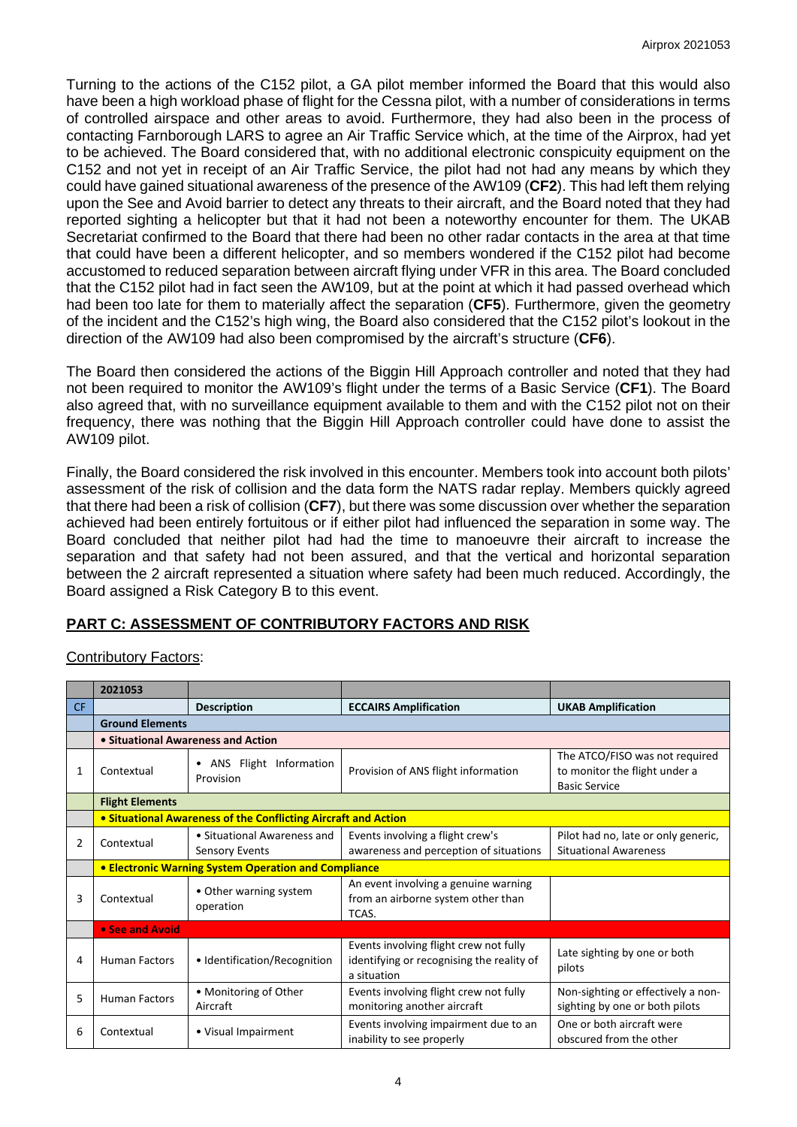Turning to the actions of the C152 pilot, a GA pilot member informed the Board that this would also have been a high workload phase of flight for the Cessna pilot, with a number of considerations in terms of controlled airspace and other areas to avoid. Furthermore, they had also been in the process of contacting Farnborough LARS to agree an Air Traffic Service which, at the time of the Airprox, had yet to be achieved. The Board considered that, with no additional electronic conspicuity equipment on the C152 and not yet in receipt of an Air Traffic Service, the pilot had not had any means by which they could have gained situational awareness of the presence of the AW109 (**CF2**). This had left them relying upon the See and Avoid barrier to detect any threats to their aircraft, and the Board noted that they had reported sighting a helicopter but that it had not been a noteworthy encounter for them. The UKAB Secretariat confirmed to the Board that there had been no other radar contacts in the area at that time that could have been a different helicopter, and so members wondered if the C152 pilot had become accustomed to reduced separation between aircraft flying under VFR in this area. The Board concluded that the C152 pilot had in fact seen the AW109, but at the point at which it had passed overhead which had been too late for them to materially affect the separation (**CF5**). Furthermore, given the geometry of the incident and the C152's high wing, the Board also considered that the C152 pilot's lookout in the direction of the AW109 had also been compromised by the aircraft's structure (**CF6**).

The Board then considered the actions of the Biggin Hill Approach controller and noted that they had not been required to monitor the AW109's flight under the terms of a Basic Service (**CF1**). The Board also agreed that, with no surveillance equipment available to them and with the C152 pilot not on their frequency, there was nothing that the Biggin Hill Approach controller could have done to assist the AW109 pilot.

Finally, the Board considered the risk involved in this encounter. Members took into account both pilots' assessment of the risk of collision and the data form the NATS radar replay. Members quickly agreed that there had been a risk of collision (**CF7**), but there was some discussion over whether the separation achieved had been entirely fortuitous or if either pilot had influenced the separation in some way. The Board concluded that neither pilot had had the time to manoeuvre their aircraft to increase the separation and that safety had not been assured, and that the vertical and horizontal separation between the 2 aircraft represented a situation where safety had been much reduced. Accordingly, the Board assigned a Risk Category B to this event.

# **PART C: ASSESSMENT OF CONTRIBUTORY FACTORS AND RISK**

Contributory Factors:

|                | 2021053                                                        |                                                      |                                                                                                    |                                                                                         |  |  |
|----------------|----------------------------------------------------------------|------------------------------------------------------|----------------------------------------------------------------------------------------------------|-----------------------------------------------------------------------------------------|--|--|
| CF.            |                                                                | <b>Description</b>                                   | <b>ECCAIRS Amplification</b>                                                                       | <b>UKAB Amplification</b>                                                               |  |  |
|                | <b>Ground Elements</b>                                         |                                                      |                                                                                                    |                                                                                         |  |  |
|                | • Situational Awareness and Action                             |                                                      |                                                                                                    |                                                                                         |  |  |
| 1              | Contextual                                                     | • ANS Flight Information<br>Provision                | Provision of ANS flight information                                                                | The ATCO/FISO was not required<br>to monitor the flight under a<br><b>Basic Service</b> |  |  |
|                | <b>Flight Elements</b>                                         |                                                      |                                                                                                    |                                                                                         |  |  |
|                | • Situational Awareness of the Conflicting Aircraft and Action |                                                      |                                                                                                    |                                                                                         |  |  |
| $\overline{2}$ | Contextual                                                     | • Situational Awareness and<br><b>Sensory Events</b> | Events involving a flight crew's<br>awareness and perception of situations                         | Pilot had no, late or only generic,<br><b>Situational Awareness</b>                     |  |  |
|                | <b>• Electronic Warning System Operation and Compliance</b>    |                                                      |                                                                                                    |                                                                                         |  |  |
| 3              | Contextual                                                     | • Other warning system<br>operation                  | An event involving a genuine warning<br>from an airborne system other than<br>TCAS.                |                                                                                         |  |  |
|                | • See and Avoid                                                |                                                      |                                                                                                    |                                                                                         |  |  |
| 4              | <b>Human Factors</b>                                           | • Identification/Recognition                         | Events involving flight crew not fully<br>identifying or recognising the reality of<br>a situation | Late sighting by one or both<br>pilots                                                  |  |  |
| 5              | <b>Human Factors</b>                                           | • Monitoring of Other<br>Aircraft                    | Events involving flight crew not fully<br>monitoring another aircraft                              | Non-sighting or effectively a non-<br>sighting by one or both pilots                    |  |  |
| 6              | Contextual                                                     | • Visual Impairment                                  | Events involving impairment due to an<br>inability to see properly                                 | One or both aircraft were<br>obscured from the other                                    |  |  |